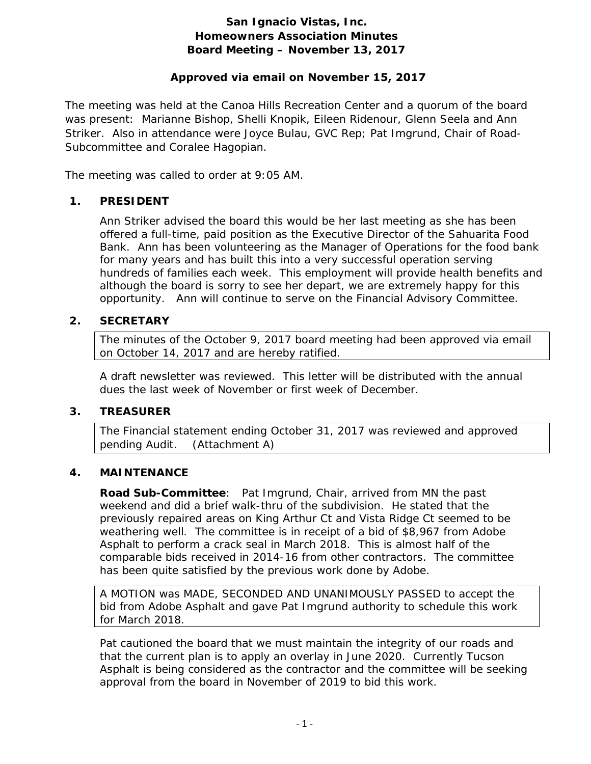## **San Ignacio Vistas, Inc. Homeowners Association Minutes Board Meeting – November 13, 2017**

## **Approved via email on November 15, 2017**

The meeting was held at the Canoa Hills Recreation Center and a quorum of the board was present: Marianne Bishop, Shelli Knopik, Eileen Ridenour, Glenn Seela and Ann Striker. Also in attendance were Joyce Bulau, GVC Rep; Pat Imgrund, Chair of Road-Subcommittee and Coralee Hagopian.

The meeting was called to order at 9:05 AM.

## **1. PRESIDENT**

Ann Striker advised the board this would be her last meeting as she has been offered a full-time, paid position as the Executive Director of the Sahuarita Food Bank. Ann has been volunteering as the Manager of Operations for the food bank for many years and has built this into a very successful operation serving hundreds of families each week. This employment will provide health benefits and although the board is sorry to see her depart, we are extremely happy for this opportunity. Ann will continue to serve on the Financial Advisory Committee.

## **2. SECRETARY**

The minutes of the October 9, 2017 board meeting had been approved via email on October 14, 2017 and are hereby ratified.

A draft newsletter was reviewed. This letter will be distributed with the annual dues the last week of November or first week of December.

#### **3. TREASURER**

The Financial statement ending October 31, 2017 was reviewed and approved pending Audit. (Attachment A)

#### **4. MAINTENANCE**

**Road Sub-Committee**: Pat Imgrund, Chair, arrived from MN the past weekend and did a brief walk-thru of the subdivision. He stated that the previously repaired areas on King Arthur Ct and Vista Ridge Ct seemed to be weathering well. The committee is in receipt of a bid of \$8,967 from Adobe Asphalt to perform a crack seal in March 2018. This is almost half of the comparable bids received in 2014-16 from other contractors. The committee has been quite satisfied by the previous work done by Adobe.

A MOTION was MADE, SECONDED AND UNANIMOUSLY PASSED to accept the bid from Adobe Asphalt and gave Pat Imgrund authority to schedule this work for March 2018.

Pat cautioned the board that we must maintain the integrity of our roads and that the current plan is to apply an overlay in June 2020. Currently Tucson Asphalt is being considered as the contractor and the committee will be seeking approval from the board in November of 2019 to bid this work.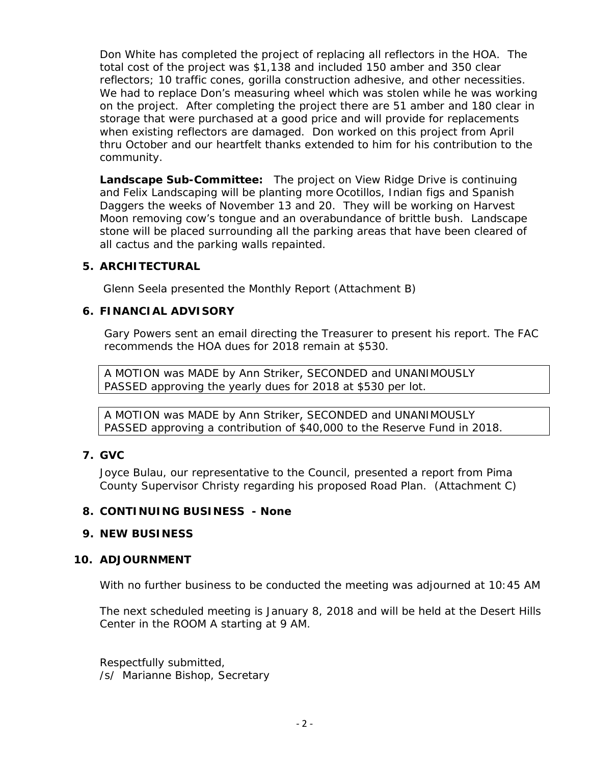Don White has completed the project of replacing all reflectors in the HOA. The total cost of the project was \$1,138 and included 150 amber and 350 clear reflectors; 10 traffic cones, gorilla construction adhesive, and other necessities. We had to replace Don's measuring wheel which was stolen while he was working on the project. After completing the project there are 51 amber and 180 clear in storage that were purchased at a good price and will provide for replacements when existing reflectors are damaged. Don worked on this project from April thru October and our heartfelt thanks extended to him for his contribution to the community.

**Landscape Sub-Committee:** The project on View Ridge Drive is continuing and Felix Landscaping will be planting more Ocotillos, Indian figs and Spanish Daggers the weeks of November 13 and 20. They will be working on Harvest Moon removing cow's tongue and an overabundance of brittle bush. Landscape stone will be placed surrounding all the parking areas that have been cleared of all cactus and the parking walls repainted.

#### **5. ARCHITECTURAL**

Glenn Seela presented the Monthly Report (Attachment B)

## **6. FINANCIAL ADVISORY**

Gary Powers sent an email directing the Treasurer to present his report. The FAC recommends the HOA dues for 2018 remain at \$530.

A MOTION was MADE by Ann Striker, SECONDED and UNANIMOUSLY PASSED approving the yearly dues for 2018 at \$530 per lot.

A MOTION was MADE by Ann Striker, SECONDED and UNANIMOUSLY PASSED approving a contribution of \$40,000 to the Reserve Fund in 2018.

## **7. GVC**

Joyce Bulau, our representative to the Council, presented a report from Pima County Supervisor Christy regarding his proposed Road Plan. (Attachment C)

#### **8. CONTINUING BUSINESS - None**

#### **9. NEW BUSINESS**

## **10. ADJOURNMENT**

With no further business to be conducted the meeting was adjourned at 10:45 AM

The next scheduled meeting is January 8, 2018 and will be held at the Desert Hills Center in the ROOM A starting at 9 AM.

Respectfully submitted, /s/ Marianne Bishop, Secretary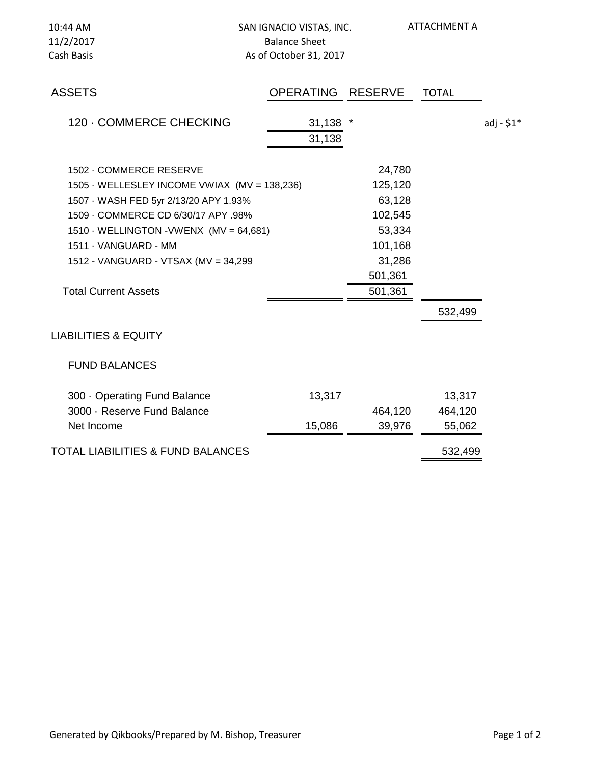| 10:44 AM<br>11/2/2017<br>Cash Basis                 | SAN IGNACIO VISTAS, INC.<br><b>Balance Sheet</b><br>As of October 31, 2017 |                | <b>ATTACHMENT A</b> |             |
|-----------------------------------------------------|----------------------------------------------------------------------------|----------------|---------------------|-------------|
| <b>ASSETS</b>                                       | <b>OPERATING</b>                                                           | <b>RESERVE</b> | <b>TOTAL</b>        |             |
| 120 - COMMERCE CHECKING                             | 31,138<br>31,138                                                           |                |                     | adj - $$1*$ |
| 1502 - COMMERCE RESERVE                             |                                                                            | 24,780         |                     |             |
| 1505 · WELLESLEY INCOME VWIAX (MV = 138,236)        |                                                                            | 125,120        |                     |             |
| 1507 · WASH FED 5yr 2/13/20 APY 1.93%               |                                                                            | 63,128         |                     |             |
| 1509 - COMMERCE CD 6/30/17 APY .98%                 |                                                                            | 102,545        |                     |             |
| 1510 $\cdot$ WELLINGTON $\cdot$ VWENX (MV = 64,681) |                                                                            | 53,334         |                     |             |
| 1511 · VANGUARD - MM                                |                                                                            | 101,168        |                     |             |
| 1512 - VANGUARD - VTSAX (MV = 34,299                |                                                                            | 31,286         |                     |             |
|                                                     |                                                                            | 501,361        |                     |             |
| <b>Total Current Assets</b>                         |                                                                            | 501,361        |                     |             |
|                                                     |                                                                            |                | 532,499             |             |
| <b>LIABILITIES &amp; EQUITY</b>                     |                                                                            |                |                     |             |
| <b>FUND BALANCES</b>                                |                                                                            |                |                     |             |
| 300 · Operating Fund Balance                        | 13,317                                                                     |                | 13,317              |             |
| 3000 · Reserve Fund Balance                         |                                                                            | 464,120        | 464,120             |             |
| Net Income                                          | 15,086                                                                     | 39,976         | 55,062              |             |
| <b>TOTAL LIABILITIES &amp; FUND BALANCES</b>        |                                                                            |                | 532,499             |             |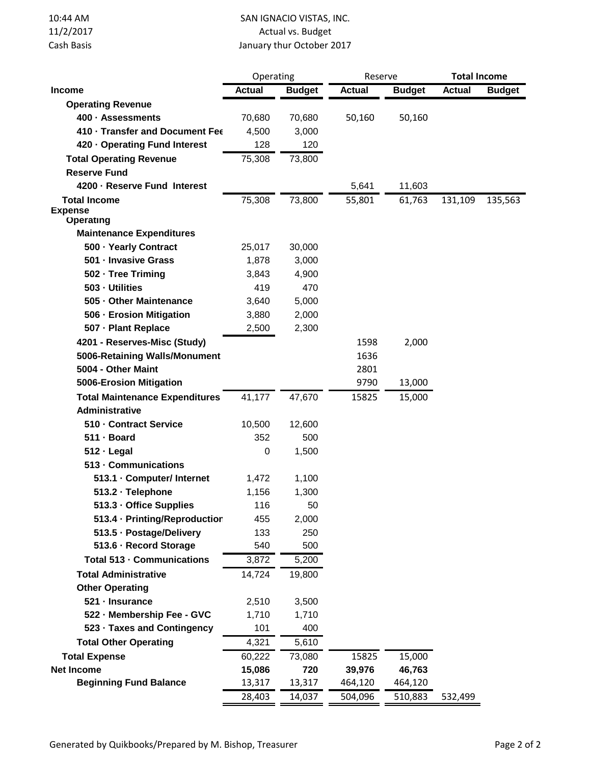| 10:44 AM   | SAN IGNACIO VISTAS, INC.  |
|------------|---------------------------|
| 11/2/2017  | Actual vs. Budget         |
| Cash Basis | January thur October 2017 |

|                                                          | Operating     |               | Reserve       |               | <b>Total Income</b> |               |
|----------------------------------------------------------|---------------|---------------|---------------|---------------|---------------------|---------------|
| Income                                                   | <b>Actual</b> | <b>Budget</b> | <b>Actual</b> | <b>Budget</b> | <b>Actual</b>       | <b>Budget</b> |
| <b>Operating Revenue</b>                                 |               |               |               |               |                     |               |
| 400 · Assessments                                        | 70,680        | 70,680        | 50,160        | 50,160        |                     |               |
| 410 · Transfer and Document Fee                          | 4,500         | 3,000         |               |               |                     |               |
| 420 · Operating Fund Interest                            | 128           | 120           |               |               |                     |               |
| <b>Total Operating Revenue</b>                           | 75,308        | 73,800        |               |               |                     |               |
| <b>Reserve Fund</b>                                      |               |               |               |               |                     |               |
| 4200 · Reserve Fund Interest                             |               |               | 5,641         | 11,603        |                     |               |
| <b>Total Income</b>                                      | 75,308        | 73,800        | 55,801        | 61,763        | 131,109             | 135,563       |
| <b>Expense</b>                                           |               |               |               |               |                     |               |
| <b>Operating</b>                                         |               |               |               |               |                     |               |
| <b>Maintenance Expenditures</b><br>500 · Yearly Contract |               |               |               |               |                     |               |
|                                                          | 25,017        | 30,000        |               |               |                     |               |
| 501 - Invasive Grass<br>502 · Tree Triming               | 1,878         | 3,000         |               |               |                     |               |
| 503 - Utilities                                          | 3,843<br>419  | 4,900<br>470  |               |               |                     |               |
| 505 - Other Maintenance                                  | 3,640         | 5,000         |               |               |                     |               |
| 506 - Erosion Mitigation                                 | 3,880         | 2,000         |               |               |                     |               |
| 507 - Plant Replace                                      | 2,500         | 2,300         |               |               |                     |               |
| 4201 - Reserves-Misc (Study)                             |               |               |               |               |                     |               |
| 5006-Retaining Walls/Monument                            |               |               | 1598<br>1636  | 2,000         |                     |               |
| 5004 - Other Maint                                       |               |               | 2801          |               |                     |               |
| 5006-Erosion Mitigation                                  |               |               | 9790          | 13,000        |                     |               |
| <b>Total Maintenance Expenditures</b>                    | 41,177        | 47,670        | 15825         | 15,000        |                     |               |
| <b>Administrative</b>                                    |               |               |               |               |                     |               |
| 510 - Contract Service                                   | 10,500        | 12,600        |               |               |                     |               |
| 511 · Board                                              | 352           | 500           |               |               |                     |               |
| $512 \cdot$ Legal                                        | 0             | 1,500         |               |               |                     |               |
| 513 - Communications                                     |               |               |               |               |                     |               |
| 513.1 · Computer/ Internet                               | 1,472         | 1,100         |               |               |                     |               |
| 513.2 · Telephone                                        | 1,156         | 1,300         |               |               |                     |               |
| 513.3 · Office Supplies                                  | 116           | 50            |               |               |                     |               |
| 513.4 · Printing/Reproductior                            | 455           | 2,000         |               |               |                     |               |
| 513.5 · Postage/Delivery                                 | 133           | 250           |               |               |                     |               |
| 513.6 · Record Storage                                   | 540           | 500           |               |               |                     |               |
| Total 513 - Communications                               | 3,872         | 5,200         |               |               |                     |               |
| <b>Total Administrative</b>                              | 14,724        | 19,800        |               |               |                     |               |
| <b>Other Operating</b>                                   |               |               |               |               |                     |               |
| 521 · Insurance                                          | 2,510         | 3,500         |               |               |                     |               |
| 522 - Membership Fee - GVC                               | 1,710         | 1,710         |               |               |                     |               |
| 523 · Taxes and Contingency                              | 101           | 400           |               |               |                     |               |
| <b>Total Other Operating</b>                             | 4,321         | 5,610         |               |               |                     |               |
| <b>Total Expense</b>                                     | 60,222        | 73,080        | 15825         | 15,000        |                     |               |
| <b>Net Income</b>                                        | 15,086        | 720           | 39,976        | 46,763        |                     |               |
| <b>Beginning Fund Balance</b>                            | 13,317        | 13,317        | 464,120       | 464,120       |                     |               |
|                                                          | 28,403        | 14,037        | 504,096       | 510,883       | 532,499             |               |
|                                                          |               |               |               |               |                     |               |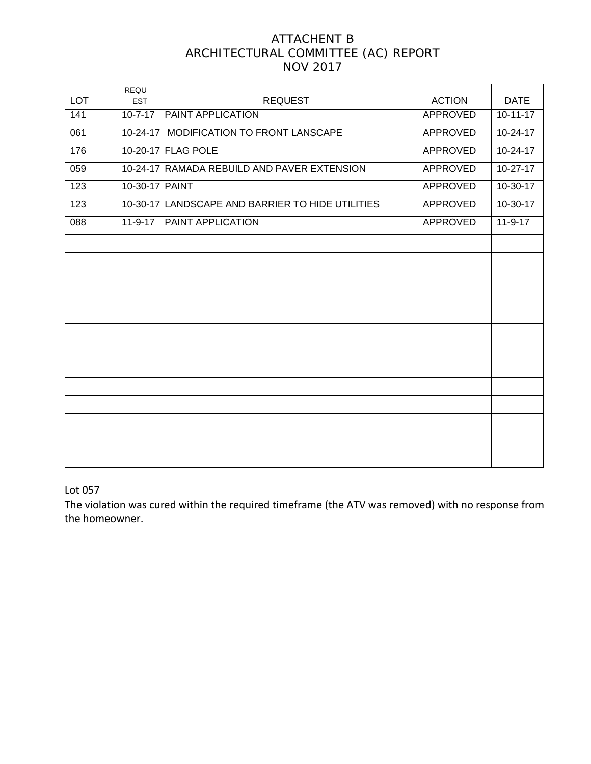## ATTACHENT B ARCHITECTURAL COMMITTEE (AC) REPORT NOV 2017

| <b>LOT</b>       | REQU<br><b>EST</b> | <b>REQUEST</b>                                   | <b>ACTION</b>   | <b>DATE</b>    |
|------------------|--------------------|--------------------------------------------------|-----------------|----------------|
| 141              | $10 - 7 - 17$      | <b>PAINT APPLICATION</b>                         | APPROVED        | $10 - 11 - 17$ |
|                  |                    |                                                  |                 |                |
| 061              | 10-24-17           | MODIFICATION TO FRONT LANSCAPE                   | <b>APPROVED</b> | 10-24-17       |
| 176              |                    | 10-20-17 FLAG POLE                               | <b>APPROVED</b> | $10 - 24 - 17$ |
| 059              |                    | 10-24-17 RAMADA REBUILD AND PAVER EXTENSION      | <b>APPROVED</b> | $10-27-17$     |
| 123              | 10-30-17 PAINT     |                                                  | <b>APPROVED</b> | $10-30-17$     |
| 123              |                    | 10-30-17 LANDSCAPE AND BARRIER TO HIDE UTILITIES | <b>APPROVED</b> | $10-30-17$     |
| $\overline{088}$ | $11-9-17$          | <b>PAINT APPLICATION</b>                         | <b>APPROVED</b> | $11-9-17$      |
|                  |                    |                                                  |                 |                |
|                  |                    |                                                  |                 |                |
|                  |                    |                                                  |                 |                |
|                  |                    |                                                  |                 |                |
|                  |                    |                                                  |                 |                |
|                  |                    |                                                  |                 |                |
|                  |                    |                                                  |                 |                |
|                  |                    |                                                  |                 |                |
|                  |                    |                                                  |                 |                |
|                  |                    |                                                  |                 |                |
|                  |                    |                                                  |                 |                |
|                  |                    |                                                  |                 |                |
|                  |                    |                                                  |                 |                |

#### Lot 057

The violation was cured within the required timeframe (the ATV was removed) with no response from the homeowner.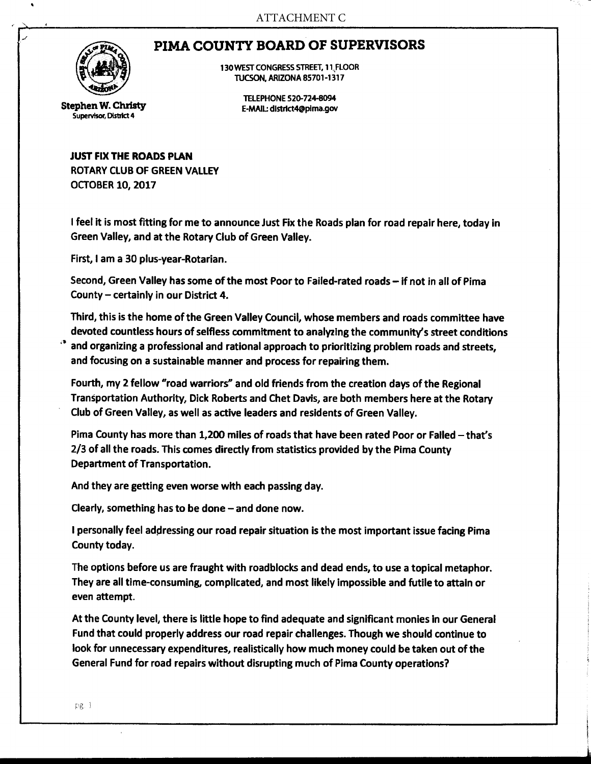# PIMA COUNTY BOARD OF SUPERVISORS



Stephen W. Christy Supervisor, District 4

130 WEST CONGRESS STREET, 1 l;flOOR TUCSON, ARIZONA 85701-1317

TELEPHONE 520-724-8094 E-MAIL: dlstrfct4@plma.gov

JUST FIX THE ROADS PLAN ROTARY CLUB OF GREEN VALLEY

OCTOBER 10, 2017

I feel it is most fitting for me to announce Just Fix the Roads plan for road repair here, today in Green Valley, and at the Rotary Club of Green Valley.

First, I am a 30 plus-year-Rotarian.

Second, Green Valley has some of the most Poor to Failed-rated roads - if not in all of Pima County  $-$  certainly in our District 4.

Third, this is the home of the Green Valley Council, whose members and roads committee have devoted countless hours of selfless commitment to analyzing the community's street conditions and organizing a professional and rational approach to prioritizing problem roads and streets, and focusing on a sustainable manner and process for repairing them.

Fourth, my 2 fellow "road warriors" and old friends from the creation days of the Regional Transportation Authority, Dick Roberts and Chet Davis, are both members here at the Rotary Club of Green Valley, as well as active leaders and residents of Green Valley.

Pima County has more than 1,200 miles of roads that have been rated Poor or Failed - that's 2/3 of all the roads. This comes directly from statistics provided by the Pima County Department of Transportation.

And they are getting even worse with each passing day.

Clearly, something has to be done  $-$  and done now.

I personally feel addressing our road repair situation is the most important issue facing Pima County today.

The options before us are fraught with roadblocks and dead ends, to use a topical metaphor. They are all time-consuming, complicated, and most likely impossible and futile to attain or even attempt.

At the County level, there is little hope to find adequate and significant monies in our General Fund that could properly address our road repair challenges. Though we should continue to look for unnecessary expenditures, realistically how much money could be taken out of the General Fund for road repairs without disrupting much of Pima County operations?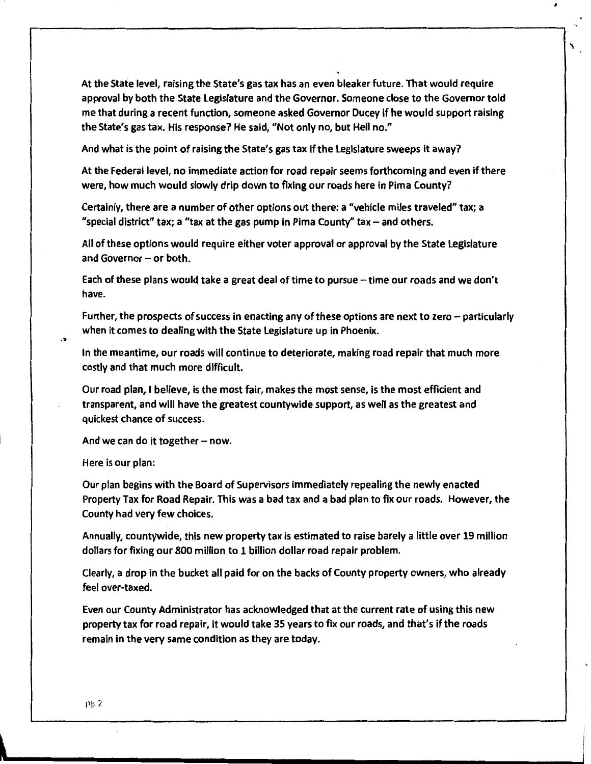At the State level, raising the State's gas tax has an even bleaker future. That would require approval by both the State legislature and the Governor. Someone close to the Governor told me that during a recent function, someone asked Governor Ducey if he would support raising the State's gas tax. His response? He said, "Not only no, but Hell no."

a,

And what is the point of raising the State's gas tax if the Legislature sweeps it away?

At the Federal level, no immediate action for road repair seems forthcoming and even if there were, how much would slowly drip down to fixing our roads here in Pima County?

Certainly, there are a number of other options out there: a "vehicle miles traveled" tax; a "special district" tax; a "tax at the gas pump in Pima County" tax  $-$  and others.

All of these options would require either voter approval or approval by the State Legislature and Governor  $-$  or both.

Each of these plans would take a great deal of time to pursue - time our roads and we don't have.

Further, the prospects of success in enacting any of these options are next to zero – particularly when it comes to dealing with the State legislature up in Phoenix.

In the meantime, our roads will continue to deteriorate, making road repair that much more costly and that much more difficult.

Our road plan, I believe, is the most fair, makes the most sense, is the most efficient and transparent, and will have the greatest countywide support, as well as the greatest and quickest chance of success.

And we can do it together  $-$  now.

Here is our plan:

 $\mathbf{B}$ 

Our plan begins with the Board of Supervisors immediately repealing the newly enacted Property Tax for Road Repair. This was a bad tax and a bad plan to fix our roads. However, the County had very few choices.

Annually, countywide, this new property tax is estimated to raise barely a little over 19 million dollars for fixing our 800 million to 1 billion dollar road repair problem.

Clearly, a drop in the bucket all paid for on the backs of County property owners, who already feel over-taxed.

Even our County Administrator has acknowledged that at the current rate of using this new property tax for road repair, it would take 35 years to fix our roads, and that's if the roads remain in the very same condition as they are today.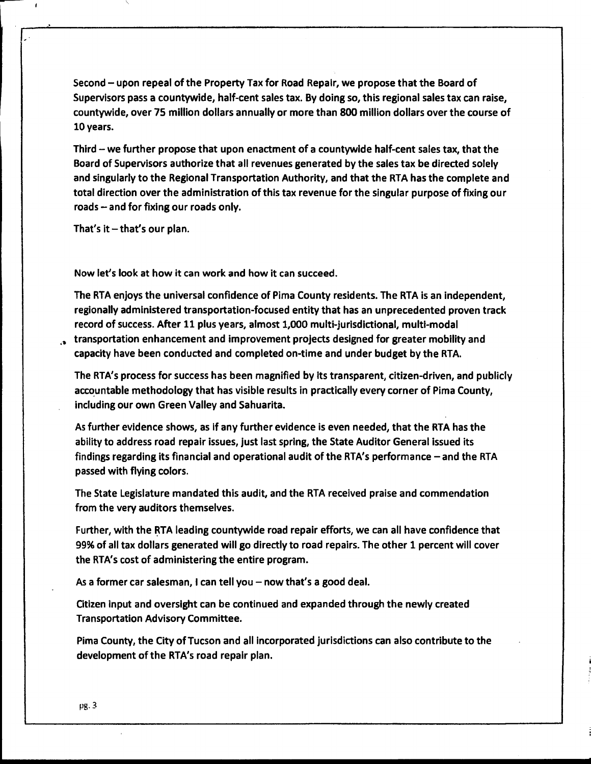Second - upon repeal of the Property Tax for Road Repair, we propose that the Board of Supervisors pass a countywide, half-cent sales tax. By doing so, this regional sales tax can raise, countywide, over 75 million dollars annually or more than 800 million dollars over the course of 10 years.

Third - we further propose that upon enactment of a countywide half-cent sales tax, that the Board of Supervisors authorize that all revenues generated by the sales tax be directed solely and singularly to the Regional Transportation Authority, and that the RTA has the complete and total direction over the administration of this tax revenue for the singular purpose of fixing our roads - and for fixing our roads only.

That's it  $-$  that's our plan.

, .

Now let's look at how it can work and how it can succeed.

The RTA enjoys the universal confidence of Pima County residents. The RTA is an independent, regionally administered transportation-focused entity that has an unprecedented proven track record of success. After 11 plus years, almost 1,000 multi-jurisdictional, multi-modal

,. transportation enhancement and improvement projects designed for greater mobility and capacity have been conducted and completed on-time and under budget by the RTA.

The RTA's process for success has been magnified by its transparent, citizen-driven, and publicly accountable methodology that has visible results in practically every corner of Pima County, including our own Green Valley and Sahuarita.

As further evidence shows, as if any further evidence is even needed, that the RTA has the ability to address road repair issues, just last spring, the State Auditor General issued its findings regarding its financial and operational audit of the RTA's performance - and the RTA passed with flying colors.

The State Legislature mandated this audit, and the RTA received praise and commendation from the very auditors themselves.

Further, with the RTA leading countywide road repair efforts, we can all have confidence that 99% of all tax dollars generated will go directly to road repairs. The other 1 percent will cover the RTA's cost of administering the entire program.

As a former car salesman, I can tell you  $-$  now that's a good deal.

Citizen Input and oversight can be continued and expanded through the newly created Transportation Advisory Committee.

Pima County, the City of Tucson and all incorporated jurisdictions can also contribute to the development of the RTA's road repair plan.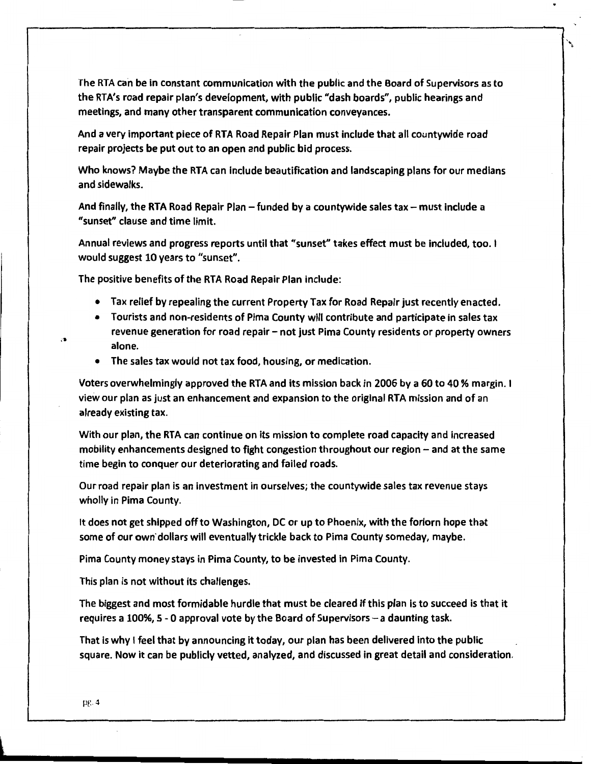The RTA can be in constant communication with the public and the Board of Supervisors as to the RTA's road repair plan's development, with public "dash boards", public hearings and meetings, and many other transparent communication conveyances.

And a very important piece of RTA Road Repair Plan must include that all countywide road repair projects be put out to an open and public bid process.

Who knows? Maybe the RTA can include beautification and landscaping plans for our medians and sidewalks.

And finally, the RTA Road Repair Plan  $-$  funded by a countywide sales tax  $-$  must include a "sunset" clause and time limit.

Annual reviews and progress reports until that "sunset" takes effect must be included, too. I would suggest 10 years to "sunset".

The positive benefits of the RTA Road Repair Plan include:

- Tax relief by repealing the current Property Tax for Road Repair just recently enacted.
- Tourists and non-residents of Pima County will contribute and participate in sales tax revenue generation for road repair – not just Pima County residents or property owners alone.
- The sales tax would not tax food, housing, or medication.

Voters overwhelmingly approved the RTA and its mission back in 2006 by a 60 to 40 % margin. I view our plan as just an enhancement and expansion to the original RTA mission and of an already existing tax.

With our plan, the RTA can continue on its mission to complete road capacity and increased mobility enhancements designed to fight congestion throughout our region  $-$  and at the same time begin to conquer our deteriorating and failed roads.

Our road repair plan is an investment in ourselves; the countywide sales tax revenue stays wholly in Pima County.

It does not get shipped off to Washington, DC or up to Phoenix, with the forlorn hope that some of our own· dollars will eventually trickle back to Pima County someday, maybe.

Pima County money stays in Pima County, to be invested in Pima County.

This plan is not without its challenges.

The biggest and most formidable hurdle that must be cleared if this plan is to succeed is that it requires a 100%, 5 - 0 approval vote by the Board of Supervisors - a daunting task.

That is why I feel that by announcing it today, our plan has been delivered into the public square. Now it can be publicly vetted, analyzed, and discussed in great detail and consideration.

...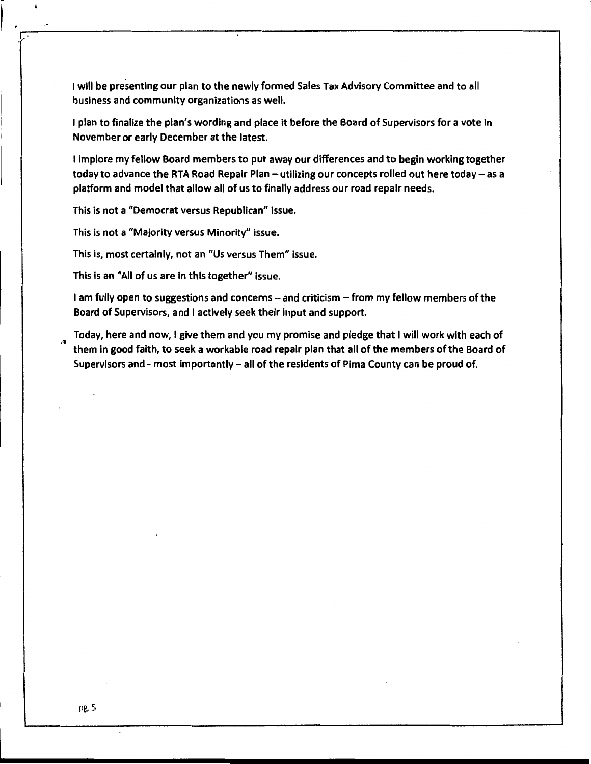I will be presenting our plan to the newly formed Sales Tax Advisory Committee and to all business and community organizations as well.

I plan to finalize the plan's wording and place it before the Board of Supervisors for a vote in November or early December at the latest.

I implore my fellow Board members to put away our differences and to begin working together today to advance the RTA Road Repair Plan - utilizing our concepts rolled out here today - as a platform and model that allow all of us to finally address our road repair needs.

This is not a "Democrat versus Republican" issue.

This is not a "Majority versus Minority" issue.

,•

,,•

 $\pmb{\cdot}$ 

This is, most certainly, not an "Us versus Them" issue.

This is an "All of us are in this together'' issue.

I am fully open to suggestions and concerns - and criticism - from my fellow members of the Board of Supervisors, and I actively seek their input and support.

... Today, here and now, I give them and you my promise and pledge that I will work with each of them in good faith, to seek a workable road repair plan that all of the members of the Board of Supervisors and - most importantly  $-$  all of the residents of Pima County can be proud of.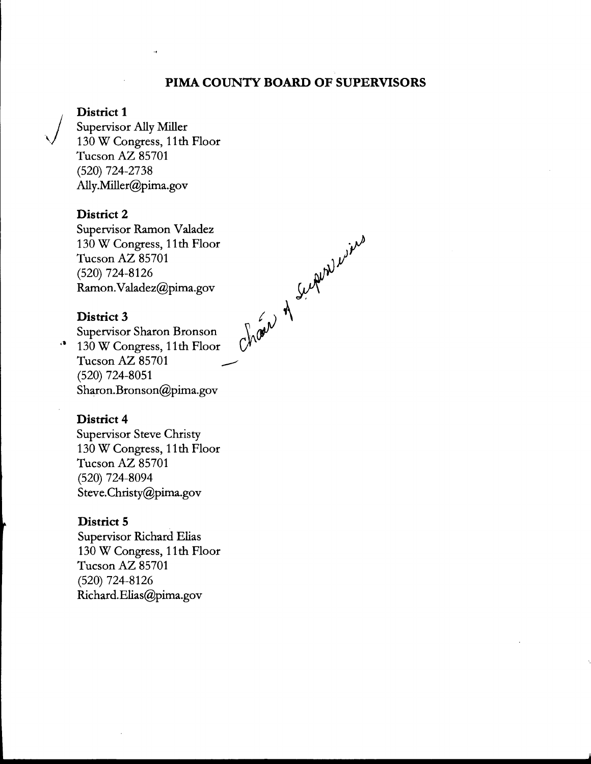## **PIMA COUNTY BOARD OF SUPERVISORS**

Chair of Superviole

## **District 1**

Supervisor Ally Miller 130 W Congress, 11th Floor Tucson AZ 85701 (520) 724-2738 Ally.Miller@pima.gov

## **District 2**

Supervisor Ramon Valadez 130 W Congress, 11th Floor Tucson AZ 85701 (520) 724-8126 Ramon.Valadez@pima.gov

## **District 3**

Supervisor Sharon Bronson ·• 130 W Congress, 11th Floor Tucson AZ 85701

(520) 724-8051 Sharon.Bronson@pima.gov

#### **District 4**

Supervisor Steve Christy 130 W Congress, 11th Floor Tucson AZ 85701 (520) 724-8094 Steve.Christy@pima.gov

#### **District 5**

Supervisor Richard Elias 130 W Congress, 11th Floor Tucson AZ 85701 (520) 724-8126 Richard.Elias@pima.gov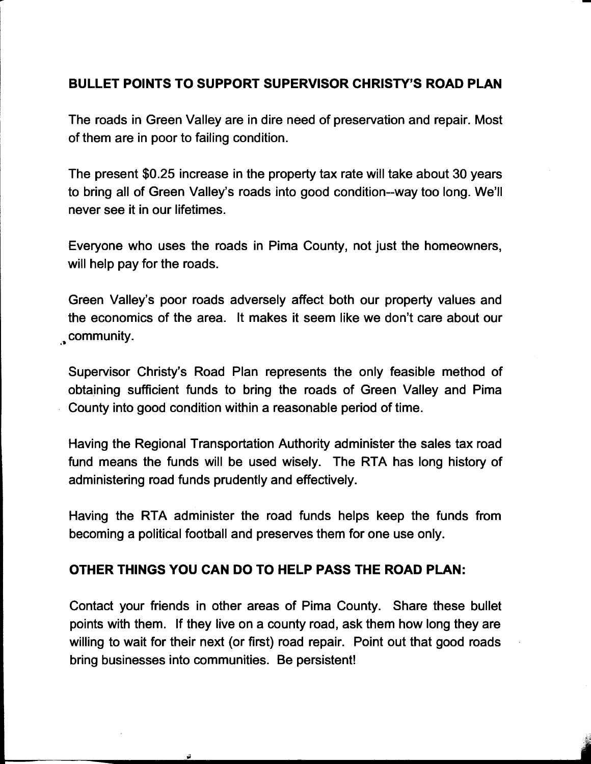## **BULLET POINTS TO SUPPORT SUPERVISOR CHRISTY'S ROAD PLAN**

The roads in Green Valley are in dire need of preservation and repair. Most of them are in poor to failing condition.

The present \$0.25 increase in the property tax rate will take about 30 years to bring all of Green Valley's roads into good condition--way too long. We'll never see it in our lifetimes.

Everyone who uses the roads in Pima County, not just the homeowners, will help pay for the roads.

Green Valley's poor roads adversely affect both our property values and the economics of the area. It makes it seem like we don't care about our ,. community.

Supervisor Christy's Road Plan represents the only feasible method of obtaining sufficient funds to bring the roads of Green Valley and Pima County into good condition within a reasonable period of time.

Having the Regional Transportation Authority administer the sales tax road fund means the funds will be used wisely. The RTA has long history of administering road funds prudently and effectively.

Having the RTA administer the road funds helps keep the funds from becoming a political football and preserves them for one use only.

## **OTHER THINGS YOU CAN DO TO HELP PASS THE ROAD PLAN:**

Contact your friends in other areas of Pima County. Share these bullet points with them. If they live on a county road, ask them how long they are willing to wait for their next (or first) road repair. Point out that good roads bring businesses into communities. Be persistent!